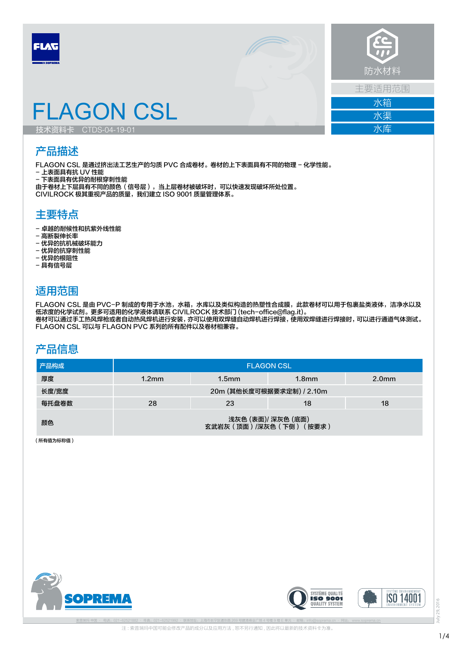



主要适用范围 水箱

> 水渠 水库

# FLAGON CSL

技术资料卡 CTDS-04-19-01

## 产品描述

FLAGON CSL 是通过挤出法工艺生产的匀质 PVC 合成卷材。卷材的上下表面具有不同的物理 - 化学性能。 - 上表面具有抗 UV 性能

- 下表面具有优异的耐根穿刺性能

由于卷材上下层具有不同的颜色(信号层),当上层卷材被破坏时,可以快速发现破坏所处位置。 CIVILROCK 极其重视产品的质量,我们建立 ISO 9001 质量管理体系。

#### 主要特点

- 卓越的耐候性和抗紫外线性能
- 高断裂伸长率
- 优异的抗机械破坏能力
- 优异的抗穿刺性能
- 优异的根阻性
- 具有信号层

### 适用范围

FLAGON CSL 是由 PVC-P 制成的专用于水池,水箱,水库以及类似构造的热塑性合成膜,此款卷材可以用于包裹盐类液体,洁净水以及 低浓度的化学试剂。更多可适用的化学液体请联系 CIVILROCK 技术部门 (tech-office@flag.it)。 卷材可以通过手工热风焊枪或者自动热风焊机进行安装,亦可以使用双焊缝自动焊机进行焊接,使用双焊缝进行焊接时,可以进行通道气体测试。 FLAGON CSL 可以与 FLAGON PVC 系列的所有配件以及卷材相兼容。

#### 产品信息

| 产品构成  | <b>FLAGON CSL</b>                               |                   |                   |                   |  |  |
|-------|-------------------------------------------------|-------------------|-------------------|-------------------|--|--|
| 厚度    | 1.2 <sub>mm</sub>                               | 1.5 <sub>mm</sub> | 1.8 <sub>mm</sub> | 2.0 <sub>mm</sub> |  |  |
| 长度/宽度 | 20m (其他长度可根据要求定制) / 2.10m                       |                   |                   |                   |  |  |
| 每托盘卷数 | 28                                              | 23                | 18                | 18                |  |  |
| 颜色    | 浅灰色 (表面)/ 深灰色 (底面)<br>玄武岩灰 (顶面) /深灰色 (下侧) (按要求) |                   |                   |                   |  |  |

( 所有值为标称值 )







29, 2016 July 29, 2016  $\frac{1}{2}$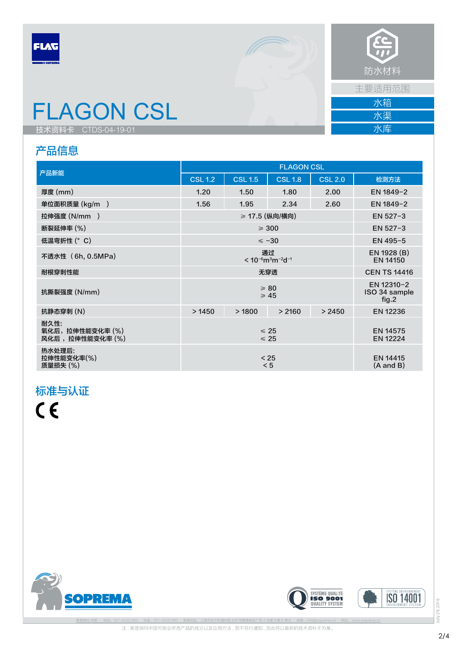



主要适用范围

水渠 水库

水箱

FLAGON CSL

技术资料卡 CTDS-04-19-01

# 产品信息

|                                            | <b>FLAGON CSL</b>                                                |                |                |                                  |                                      |
|--------------------------------------------|------------------------------------------------------------------|----------------|----------------|----------------------------------|--------------------------------------|
| 产品新能                                       | <b>CSL 1.2</b>                                                   | <b>CSL 1.5</b> | <b>CSL 1.8</b> | $CSL$ 2.0                        | 检测方法                                 |
| 厚度 (mm)                                    | 1.20                                                             | 1.50           | 1.80           | 2.00                             | EN 1849-2                            |
| 单位面积质量 (kg/m )                             | 1.56                                                             | 1.95           | 2.34           | 2.60                             | EN 1849-2                            |
| 拉伸强度 (N/mm )                               | ≥ 17.5 (纵向/横向)                                                   |                |                | EN 527-3                         |                                      |
| 断裂延伸率 (%)                                  | $\geqslant$ 300                                                  |                |                |                                  | EN $527 - 3$                         |
| 低温弯折性 (°C)                                 | $\leq -30$                                                       |                |                |                                  | EN 495-5                             |
| 不透水性 (6h, 0.5MPa)                          | 通过<br>$< 10^{-6}$ m <sup>3</sup> m <sup>-2</sup> d <sup>-1</sup> |                |                |                                  | EN 1928 (B)<br>EN 14150              |
| 耐根穿刺性能                                     | 无穿透                                                              |                |                |                                  | <b>CEN TS 14416</b>                  |
| 抗撕裂强度 (N/mm)                               | $\geqslant 80$<br>$\geq 45$                                      |                |                |                                  | EN 12310-2<br>ISO 34 sample<br>fig.2 |
| 抗静态穿刺 (N)                                  | >1450                                                            | >1800          | > 2160         | > 2450                           | EN 12236                             |
| 耐久性:<br>氧化后,拉伸性能变化率 (%)<br>风化后,拉伸性能变化率 (%) | $\leq 25$<br>$\leq 25$                                           |                |                | EN 14575<br>EN 12224             |                                      |
| 热水处理后:<br>拉伸性能变化率(%)<br>质量损失(%)            | $< 25$<br>< 5                                                    |                |                | EN 14415<br>$(A \text{ and } B)$ |                                      |

# 标准与认证

 $C<sub>f</sub>$ 







July 29, 2016 July 29, 2016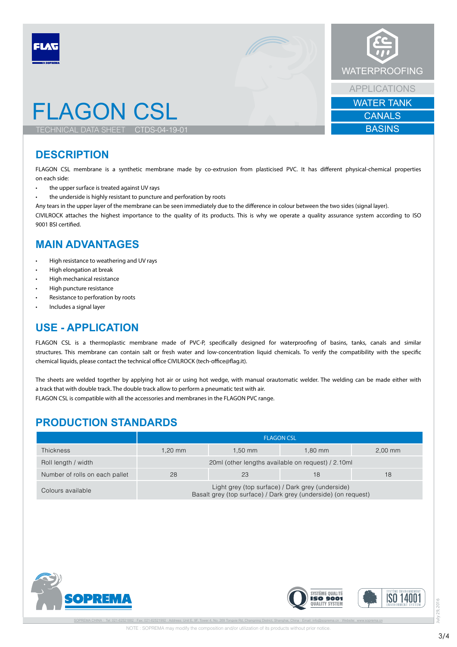

#### **DESCRIPTION**

FLAGON CSL membrane is a synthetic membrane made by co-extrusion from plasticised PVC. It has different physical-chemical properties on each side:

- the upper surface is treated against UV rays
- the underside is highly resistant to puncture and perforation by roots

Any tears in the upper layer of the membrane can be seen immediately due to the difference in colour between the two sides (signal layer).

CIVILROCK attaches the highest importance to the quality of its products. This is why we operate a quality assurance system according to ISO 9001 BSI certified.

#### **MAIN ADVANTAGES**

- High resistance to weathering and UV rays
- High elongation at break
- High mechanical resistance
- High puncture resistance
- Resistance to perforation by roots
- Includes a signal layer

#### **USE - APPLICATION**

FLAGON CSL is a thermoplastic membrane made of PVC-P, specifically designed for waterproofing of basins, tanks, canals and similar structures. This membrane can contain salt or fresh water and low-concentration liquid chemicals. To verify the compatibility with the specific chemical liquids, please contact the technical office CIVILROCK (tech-office@flag.it).

The sheets are welded together by applying hot air or using hot wedge, with manual orautomatic welder. The welding can be made either with a track that with double track. The double track allow to perform a pneumatic test with air.

FLAGON CSL is compatible with all the accessories and membranes in the FLAGON PVC range.

#### **PRODUCTION STANDARDS**

|                                | <b>FLAGON CSL</b>                                                                                                  |         |           |           |
|--------------------------------|--------------------------------------------------------------------------------------------------------------------|---------|-----------|-----------|
| <b>Thickness</b>               | 1.20 mm                                                                                                            | 1.50 mm | $1.80$ mm | $2.00$ mm |
| Roll length / width            | 20ml (other lengths available on request) / 2.10ml                                                                 |         |           |           |
| Number of rolls on each pallet | 28                                                                                                                 | 23      | 18        | 18        |
| Colours available              | Light grey (top surface) / Dark grey (underside)<br>Basalt grey (top surface) / Dark grey (underside) (on request) |         |           |           |





July 29, 2016

 $\geq$